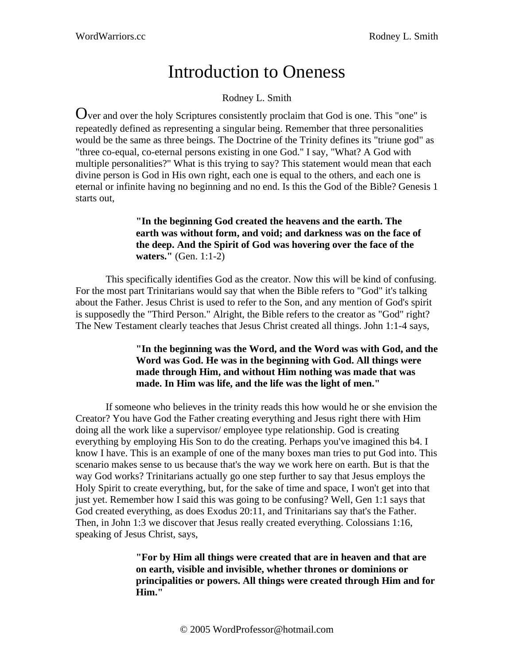# Introduction to Oneness

# Rodney L. Smith

Over and over the holy Scriptures consistently proclaim that God is one. This "one" is repeatedly defined as representing a singular being. Remember that three personalities would be the same as three beings. The Doctrine of the Trinity defines its "triune god" as "three co-equal, co-eternal persons existing in one God." I say, "What? A God with multiple personalities?" What is this trying to say? This statement would mean that each divine person is God in His own right, each one is equal to the others, and each one is eternal or infinite having no beginning and no end. Is this the God of the Bible? Genesis 1 starts out,

# **"In the beginning God created the heavens and the earth. The earth was without form, and void; and darkness was on the face of the deep. And the Spirit of God was hovering over the face of the waters."** (Gen. 1:1-2)

This specifically identifies God as the creator. Now this will be kind of confusing. For the most part Trinitarians would say that when the Bible refers to "God" it's talking about the Father. Jesus Christ is used to refer to the Son, and any mention of God's spirit is supposedly the "Third Person." Alright, the Bible refers to the creator as "God" right? The New Testament clearly teaches that Jesus Christ created all things. John 1:1-4 says,

# **"In the beginning was the Word, and the Word was with God, and the Word was God. He was in the beginning with God. All things were made through Him, and without Him nothing was made that was made. In Him was life, and the life was the light of men."**

If someone who believes in the trinity reads this how would he or she envision the Creator? You have God the Father creating everything and Jesus right there with Him doing all the work like a supervisor/ employee type relationship. God is creating everything by employing His Son to do the creating. Perhaps you've imagined this b4. I know I have. This is an example of one of the many boxes man tries to put God into. This scenario makes sense to us because that's the way we work here on earth. But is that the way God works? Trinitarians actually go one step further to say that Jesus employs the Holy Spirit to create everything, but, for the sake of time and space, I won't get into that just yet. Remember how I said this was going to be confusing? Well, Gen 1:1 says that God created everything, as does Exodus 20:11, and Trinitarians say that's the Father. Then, in John 1:3 we discover that Jesus really created everything. Colossians 1:16, speaking of Jesus Christ, says,

> **"For by Him all things were created that are in heaven and that are on earth, visible and invisible, whether thrones or dominions or principalities or powers. All things were created through Him and for Him."**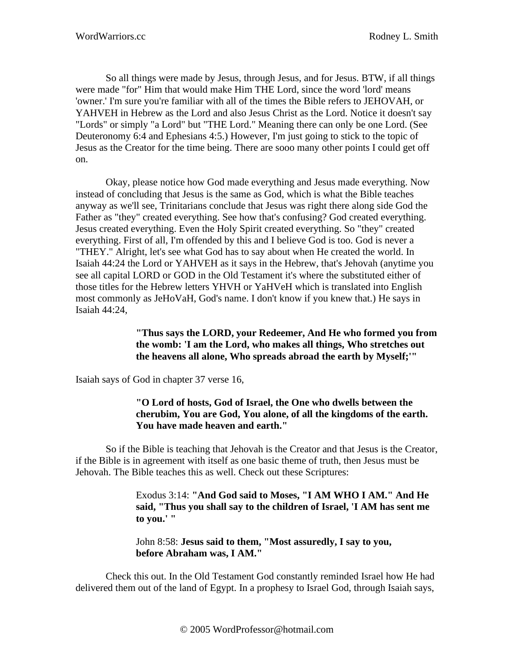So all things were made by Jesus, through Jesus, and for Jesus. BTW, if all things were made "for" Him that would make Him THE Lord, since the word 'lord' means 'owner.' I'm sure you're familiar with all of the times the Bible refers to JEHOVAH, or YAHVEH in Hebrew as the Lord and also Jesus Christ as the Lord. Notice it doesn't say "Lords" or simply "a Lord" but "THE Lord." Meaning there can only be one Lord. (See Deuteronomy 6:4 and Ephesians 4:5.) However, I'm just going to stick to the topic of Jesus as the Creator for the time being. There are sooo many other points I could get off on.

Okay, please notice how God made everything and Jesus made everything. Now instead of concluding that Jesus is the same as God, which is what the Bible teaches anyway as we'll see, Trinitarians conclude that Jesus was right there along side God the Father as "they" created everything. See how that's confusing? God created everything. Jesus created everything. Even the Holy Spirit created everything. So "they" created everything. First of all, I'm offended by this and I believe God is too. God is never a "THEY." Alright, let's see what God has to say about when He created the world. In Isaiah 44:24 the Lord or YAHVEH as it says in the Hebrew, that's Jehovah (anytime you see all capital LORD or GOD in the Old Testament it's where the substituted either of those titles for the Hebrew letters YHVH or YaHVeH which is translated into English most commonly as JeHoVaH, God's name. I don't know if you knew that.) He says in Isaiah 44:24,

#### **"Thus says the LORD, your Redeemer, And He who formed you from the womb: 'I am the Lord, who makes all things, Who stretches out the heavens all alone, Who spreads abroad the earth by Myself;'"**

Isaiah says of God in chapter 37 verse 16,

# **"O Lord of hosts, God of Israel, the One who dwells between the cherubim, You are God, You alone, of all the kingdoms of the earth. You have made heaven and earth."**

So if the Bible is teaching that Jehovah is the Creator and that Jesus is the Creator, if the Bible is in agreement with itself as one basic theme of truth, then Jesus must be Jehovah. The Bible teaches this as well. Check out these Scriptures:

> Exodus 3:14: **"And God said to Moses, "I AM WHO I AM." And He said, "Thus you shall say to the children of Israel, 'I AM has sent me to you.' "**

John 8:58: **Jesus said to them, "Most assuredly, I say to you, before Abraham was, I AM."**

Check this out. In the Old Testament God constantly reminded Israel how He had delivered them out of the land of Egypt. In a prophesy to Israel God, through Isaiah says,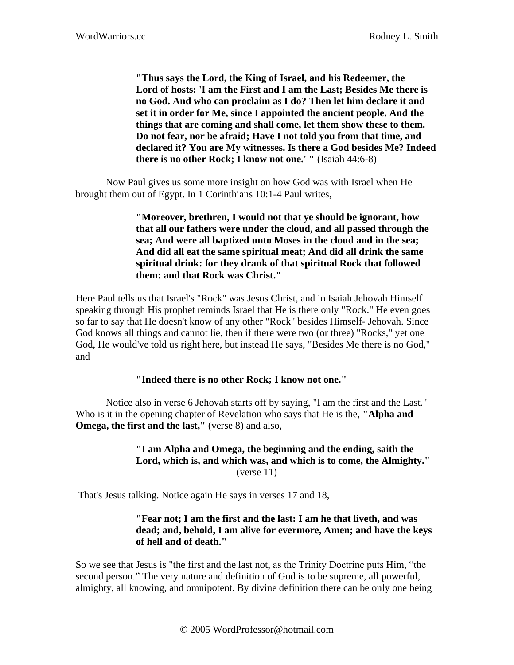**"Thus says the Lord, the King of Israel, and his Redeemer, the Lord of hosts: 'I am the First and I am the Last; Besides Me there is no God. And who can proclaim as I do? Then let him declare it and set it in order for Me, since I appointed the ancient people. And the things that are coming and shall come, let them show these to them. Do not fear, nor be afraid; Have I not told you from that time, and declared it? You are My witnesses. Is there a God besides Me? Indeed there is no other Rock; I know not one.' "** (Isaiah 44:6-8)

Now Paul gives us some more insight on how God was with Israel when He brought them out of Egypt. In 1 Corinthians 10:1-4 Paul writes,

> **"Moreover, brethren, I would not that ye should be ignorant, how that all our fathers were under the cloud, and all passed through the sea; And were all baptized unto Moses in the cloud and in the sea; And did all eat the same spiritual meat; And did all drink the same spiritual drink: for they drank of that spiritual Rock that followed them: and that Rock was Christ."**

Here Paul tells us that Israel's "Rock" was Jesus Christ, and in Isaiah Jehovah Himself speaking through His prophet reminds Israel that He is there only "Rock." He even goes so far to say that He doesn't know of any other "Rock" besides Himself- Jehovah. Since God knows all things and cannot lie, then if there were two (or three) "Rocks," yet one God, He would've told us right here, but instead He says, "Besides Me there is no God," and

#### **"Indeed there is no other Rock; I know not one."**

Notice also in verse 6 Jehovah starts off by saying, "I am the first and the Last." Who is it in the opening chapter of Revelation who says that He is the, **"Alpha and Omega, the first and the last,"** (verse 8) and also,

#### **"I am Alpha and Omega, the beginning and the ending, saith the Lord, which is, and which was, and which is to come, the Almighty."** (verse 11)

That's Jesus talking. Notice again He says in verses 17 and 18,

#### **"Fear not; I am the first and the last: I am he that liveth, and was dead; and, behold, I am alive for evermore, Amen; and have the keys of hell and of death."**

So we see that Jesus is "the first and the last not, as the Trinity Doctrine puts Him, "the second person." The very nature and definition of God is to be supreme, all powerful, almighty, all knowing, and omnipotent. By divine definition there can be only one being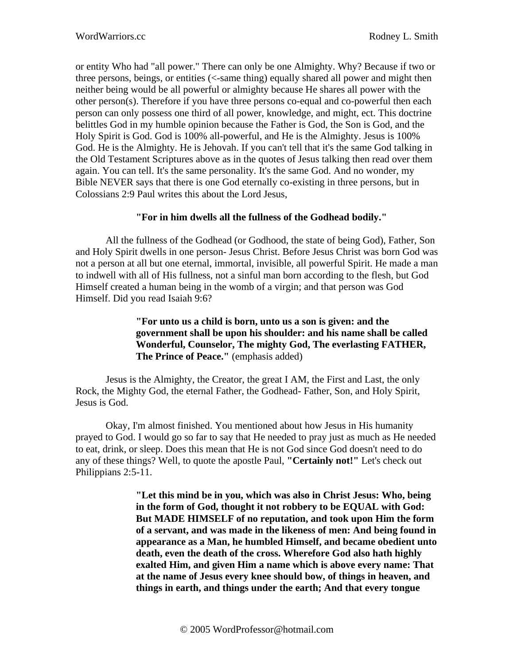or entity Who had "all power." There can only be one Almighty. Why? Because if two or three persons, beings, or entities (<-same thing) equally shared all power and might then neither being would be all powerful or almighty because He shares all power with the other person(s). Therefore if you have three persons co-equal and co-powerful then each person can only possess one third of all power, knowledge, and might, ect. This doctrine belittles God in my humble opinion because the Father is God, the Son is God, and the Holy Spirit is God. God is 100% all-powerful, and He is the Almighty. Jesus is 100% God. He is the Almighty. He is Jehovah. If you can't tell that it's the same God talking in the Old Testament Scriptures above as in the quotes of Jesus talking then read over them again. You can tell. It's the same personality. It's the same God. And no wonder, my Bible NEVER says that there is one God eternally co-existing in three persons, but in Colossians 2:9 Paul writes this about the Lord Jesus,

### **"For in him dwells all the fullness of the Godhead bodily."**

All the fullness of the Godhead (or Godhood, the state of being God), Father, Son and Holy Spirit dwells in one person- Jesus Christ. Before Jesus Christ was born God was not a person at all but one eternal, immortal, invisible, all powerful Spirit. He made a man to indwell with all of His fullness, not a sinful man born according to the flesh, but God Himself created a human being in the womb of a virgin; and that person was God Himself. Did you read Isaiah 9:6?

# **"For unto us a child is born, unto us a son is given: and the government shall be upon his shoulder: and his name shall be called Wonderful, Counselor, The mighty God, The everlasting FATHER, The Prince of Peace."** (emphasis added)

Jesus is the Almighty, the Creator, the great I AM, the First and Last, the only Rock, the Mighty God, the eternal Father, the Godhead- Father, Son, and Holy Spirit, Jesus is God.

Okay, I'm almost finished. You mentioned about how Jesus in His humanity prayed to God. I would go so far to say that He needed to pray just as much as He needed to eat, drink, or sleep. Does this mean that He is not God since God doesn't need to do any of these things? Well, to quote the apostle Paul, **"Certainly not!"** Let's check out Philippians 2:5-11.

> **"Let this mind be in you, which was also in Christ Jesus: Who, being in the form of God, thought it not robbery to be EQUAL with God: But MADE HIMSELF of no reputation, and took upon Him the form of a servant, and was made in the likeness of men: And being found in appearance as a Man, he humbled Himself, and became obedient unto death, even the death of the cross. Wherefore God also hath highly exalted Him, and given Him a name which is above every name: That at the name of Jesus every knee should bow, of things in heaven, and things in earth, and things under the earth; And that every tongue**